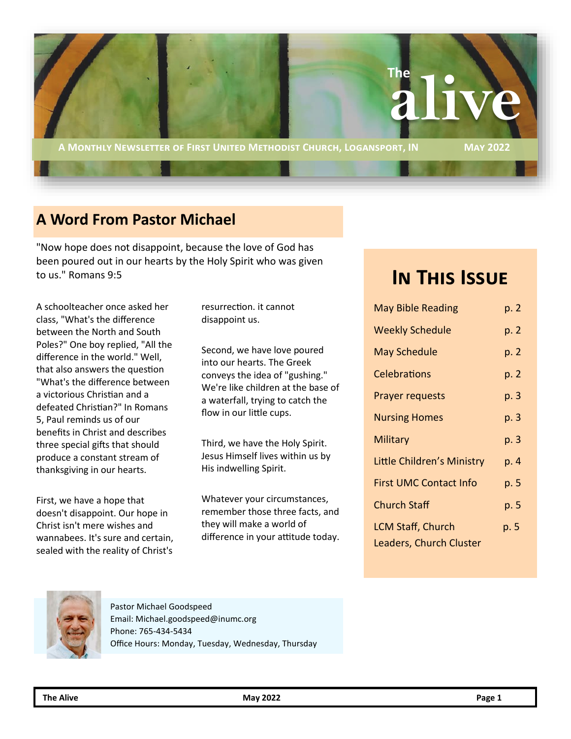

## **A Word From Pastor Michael**

"Now hope does not disappoint, because the love of God has been poured out in our hearts by the Holy Spirit who was given to us." Romans 9:5

A schoolteacher once asked her class, "What's the difference between the North and South Poles?" One boy replied, "All the difference in the world." Well, that also answers the question "What's the difference between a victorious Christian and a defeated Christian?" In Romans 5, Paul reminds us of our benefits in Christ and describes three special gifts that should produce a constant stream of thanksgiving in our hearts.

First, we have a hope that doesn't disappoint. Our hope in Christ isn't mere wishes and wannabees. It's sure and certain, sealed with the reality of Christ's resurrection. it cannot disappoint us.

Second, we have love poured into our hearts. The Greek conveys the idea of "gushing." We're like children at the base of a waterfall, trying to catch the flow in our little cups.

Third, we have the Holy Spirit. Jesus Himself lives within us by His indwelling Spirit.

Whatever your circumstances, remember those three facts, and they will make a world of difference in your attitude today.

# **In This Issue**

| <b>May Bible Reading</b>                                   | p. 2 |
|------------------------------------------------------------|------|
| <b>Weekly Schedule</b>                                     | p. 2 |
| <b>May Schedule</b>                                        | p. 2 |
| <b>Celebrations</b>                                        | p. 2 |
| <b>Prayer requests</b>                                     | p. 3 |
| <b>Nursing Homes</b>                                       | p. 3 |
| Military                                                   | p. 3 |
| Little Children's Ministry                                 | p. 4 |
| <b>First UMC Contact Info</b>                              | p. 5 |
| <b>Church Staff</b>                                        | p. 5 |
| <b>LCM Staff, Church</b><br><b>Leaders, Church Cluster</b> | p. 5 |
|                                                            |      |



Pastor Michael Goodspeed Email: Michael.goodspeed@inumc.org Phone: 765-434-5434 Office Hours: Monday, Tuesday, Wednesday, Thursday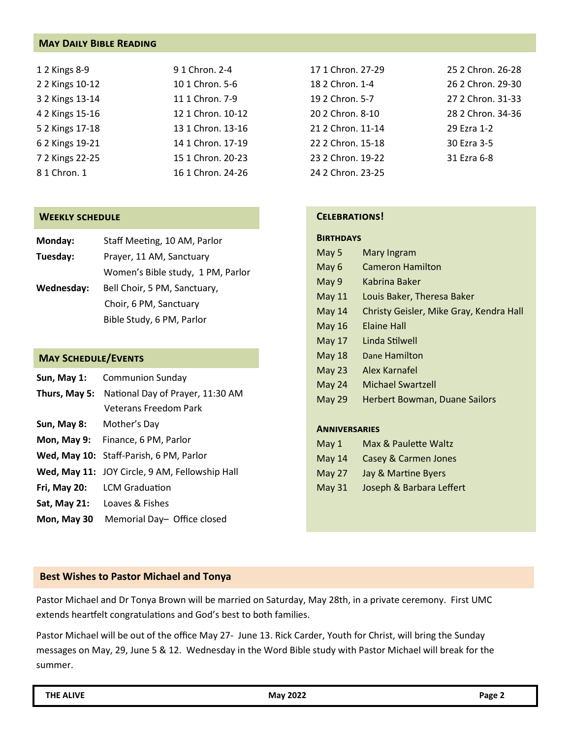## **May Daily Bible Reading**

| 1 2 Kings 8-9   | 9 1 Chron. 2-4    |
|-----------------|-------------------|
| 2 2 Kings 10-12 | 10 1 Chron. 5-6   |
| 3 2 Kings 13-14 | 11 1 Chron. 7-9   |
| 4 2 Kings 15-16 | 12 1 Chron. 10-12 |
| 5 2 Kings 17-18 | 13 1 Chron. 13-16 |
| 6 2 Kings 19-21 | 14 1 Chron. 17-19 |
| 7 2 Kings 22-25 | 15 1 Chron. 20-23 |
| 8 1 Chron. 1    | 16 1 Chron. 24-26 |

#### **Weekly schedule**

| Monday:    | Staff Meeting, 10 AM, Parlor      |
|------------|-----------------------------------|
| Tuesday:   | Prayer, 11 AM, Sanctuary          |
|            | Women's Bible study, 1 PM, Parlor |
| Wednesday: | Bell Choir, 5 PM, Sanctuary,      |
|            | Choir, 6 PM, Sanctuary            |
|            | Bible Study, 6 PM, Parlor         |

#### **May Schedule/Events**

| Sun, May 1:   | <b>Communion Sunday</b>                        |  |
|---------------|------------------------------------------------|--|
| Thurs, May 5: | National Day of Prayer, 11:30 AM               |  |
|               | <b>Veterans Freedom Park</b>                   |  |
| Sun, May 8:   | Mother's Day                                   |  |
|               | Mon, May 9: Finance, 6 PM, Parlor              |  |
|               | Wed, May 10: Staff-Parish, 6 PM, Parlor        |  |
|               | Wed, May 11: JOY Circle, 9 AM, Fellowship Hall |  |
| Fri, May 20:  | <b>LCM Graduation</b>                          |  |
| Sat, May 21:  | Loaves & Fishes                                |  |
| Mon, May 30   | Memorial Day- Office closed                    |  |

| 17 1 Chron. 27-29 | 25.2 Chron. 26-28 |
|-------------------|-------------------|
| 18 2 Chron, 1-4   | 26 2 Chron. 29-30 |
| 19 2 Chron. 5-7   | 27 2 Chron. 31-33 |
| 20 2 Chron. 8-10  | 28 2 Chron. 34-36 |
| 21 2 Chron. 11-14 | 29 Ezra 1-2       |
| 22 2 Chron. 15-18 | 30 Ezra 3-5       |
| 23 2 Chron. 19-22 | 31 Ezra 6-8       |
| 24 2 Chron. 23-25 |                   |

## **Celebrations!**

## **Birthdays**

| May 5         | Mary Ingram                             |
|---------------|-----------------------------------------|
| May 6         | <b>Cameron Hamilton</b>                 |
| May 9         | Kabrina Baker                           |
| <b>May 11</b> | Louis Baker, Theresa Baker              |
| May 14        | Christy Geisler, Mike Gray, Kendra Hall |
| <b>May 16</b> | <b>Elaine Hall</b>                      |
| <b>May 17</b> | Linda Stilwell                          |
| May 18        | Dane Hamilton                           |
| May 23        | Alex Karnafel                           |
| May 24        | Michael Swartzell                       |
| <b>May 29</b> | <b>Herbert Bowman, Duane Sailors</b>    |
|               |                                         |
|               |                                         |

#### **Anniversaries**

- May 14 Casey & Carmen Jones
- May 27 Jay & Martine Byers
- May 31 Joseph & Barbara Leffert

#### **Best Wishes to Pastor Michael and Tonya**

Pastor Michael and Dr Tonya Brown will be married on Saturday, May 28th, in a private ceremony. First UMC extends heartfelt congratulations and God's best to both families.

Pastor Michael will be out of the office May 27- June 13. Rick Carder, Youth for Christ, will bring the Sunday messages on May, 29, June 5 & 12. Wednesday in the Word Bible study with Pastor Michael will break for the summer.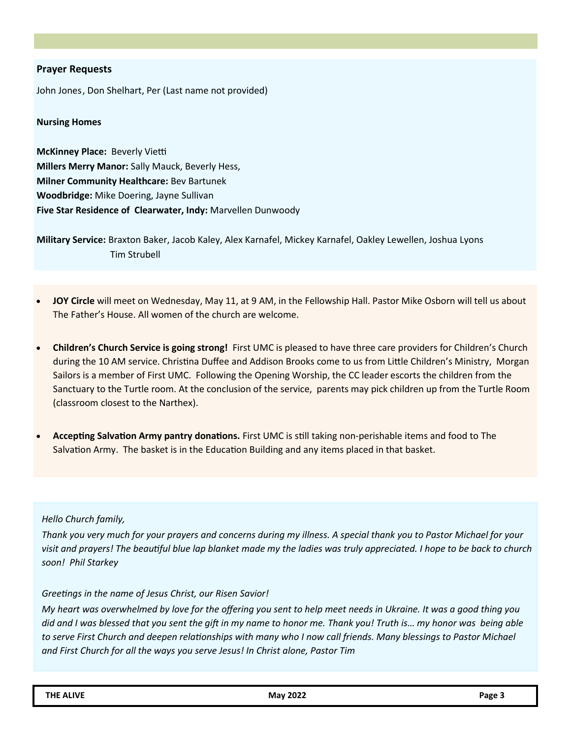## **Prayer Requests**

John Jones, Don Shelhart, Per (Last name not provided)

#### **Nursing Homes**

**McKinney Place:** Beverly Vietti **Millers Merry Manor:** Sally Mauck, Beverly Hess, **Milner Community Healthcare:** Bev Bartunek **Woodbridge:** Mike Doering, Jayne Sullivan **Five Star Residence of Clearwater, Indy:** Marvellen Dunwoody

**Military Service:** Braxton Baker, Jacob Kaley, Alex Karnafel, Mickey Karnafel, Oakley Lewellen, Joshua Lyons Tim Strubell

- **JOY Circle** will meet on Wednesday, May 11, at 9 AM, in the Fellowship Hall. Pastor Mike Osborn will tell us about The Father's House. All women of the church are welcome.
- **Children's Church Service is going strong!** First UMC is pleased to have three care providers for Children's Church during the 10 AM service. Christina Duffee and Addison Brooks come to us from Little Children's Ministry, Morgan Sailors is a member of First UMC. Following the Opening Worship, the CC leader escorts the children from the Sanctuary to the Turtle room. At the conclusion of the service, parents may pick children up from the Turtle Room (classroom closest to the Narthex).
- **Accepting Salvation Army pantry donations.** First UMC is still taking non-perishable items and food to The Salvation Army. The basket is in the Education Building and any items placed in that basket.

#### *Hello Church family,*

*Thank you very much for your prayers and concerns during my illness. A special thank you to Pastor Michael for your visit and prayers! The beautiful blue lap blanket made my the ladies was truly appreciated. I hope to be back to church soon! Phil Starkey*

#### *Greetings in the name of Jesus Christ, our Risen Savior!*

*My heart was overwhelmed by love for the offering you sent to help meet needs in Ukraine. It was a good thing you did and I was blessed that you sent the gift in my name to honor me. Thank you! Truth is… my honor was being able*  to serve First Church and deepen relationships with many who I now call friends. Many blessings to Pastor Michael *and First Church for all the ways you serve Jesus! In Christ alone, Pastor Tim*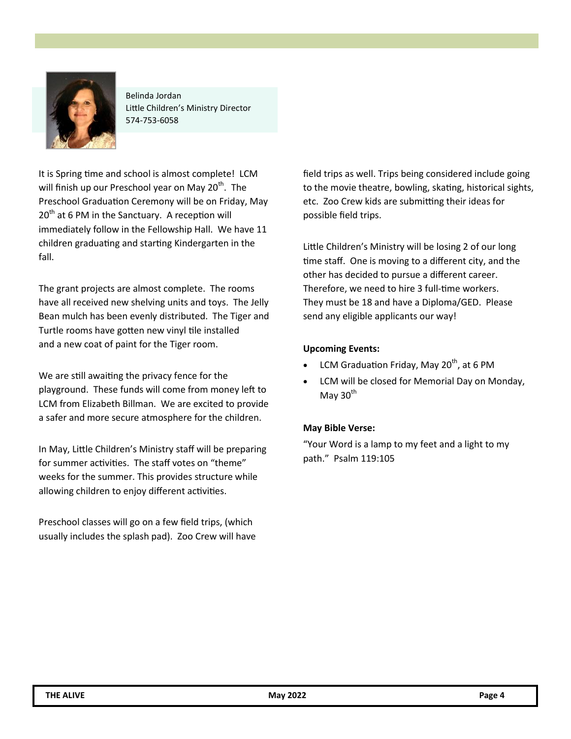

Belinda Jordan Little Children's Ministry Director 574-753-6058

It is Spring time and school is almost complete! LCM will finish up our Preschool year on May  $20<sup>th</sup>$ . The Preschool Graduation Ceremony will be on Friday, May  $20<sup>th</sup>$  at 6 PM in the Sanctuary. A reception will immediately follow in the Fellowship Hall. We have 11 children graduating and starting Kindergarten in the fall.

The grant projects are almost complete. The rooms have all received new shelving units and toys. The Jelly Bean mulch has been evenly distributed. The Tiger and Turtle rooms have gotten new vinyl tile installed and a new coat of paint for the Tiger room.

We are still awaiting the privacy fence for the playground. These funds will come from money left to LCM from Elizabeth Billman. We are excited to provide a safer and more secure atmosphere for the children.

In May, Little Children's Ministry staff will be preparing for summer activities. The staff votes on "theme" weeks for the summer. This provides structure while allowing children to enjoy different activities.

Preschool classes will go on a few field trips, (which usually includes the splash pad). Zoo Crew will have field trips as well. Trips being considered include going to the movie theatre, bowling, skating, historical sights, etc. Zoo Crew kids are submitting their ideas for possible field trips.

Little Children's Ministry will be losing 2 of our long time staff. One is moving to a different city, and the other has decided to pursue a different career. Therefore, we need to hire 3 full-time workers. They must be 18 and have a Diploma/GED. Please send any eligible applicants our way!

## **Upcoming Events:**

- LCM Graduation Friday, May 20<sup>th</sup>, at 6 PM
- LCM will be closed for Memorial Day on Monday, May  $30<sup>th</sup>$

## **May Bible Verse:**

"Your Word is a lamp to my feet and a light to my path." Psalm 119:105